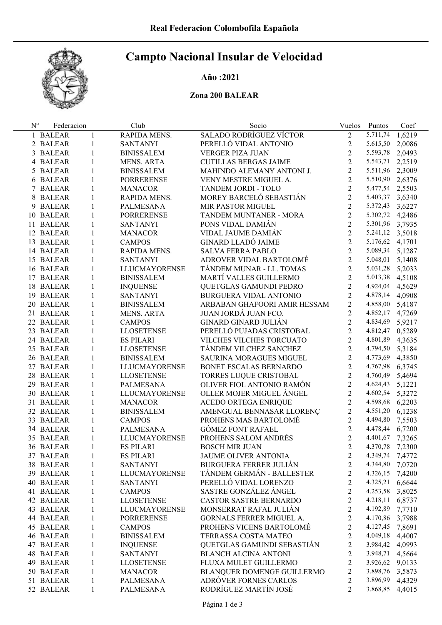# Campto Nacional Insular de Velocidad

## Año :2021

# Zona 200 BALEAR

| $N^{o}$ | Federacion |              | Club                 | Socio                           | Vuelos         | Puntos          | Coef   |
|---------|------------|--------------|----------------------|---------------------------------|----------------|-----------------|--------|
|         | 1 BALEAR   | 1            | RAPIDA MENS.         | SALADO RODRÍGUEZ VÍCTOR         | $\overline{2}$ | 5.711,74        | 1,6219 |
|         | 2 BALEAR   | $\mathbf{1}$ | <b>SANTANYI</b>      | PERELLÓ VIDAL ANTONIO           | $\overline{2}$ | 5.615,50        | 2,0086 |
|         | 3 BALEAR   | 1            | <b>BINISSALEM</b>    | VERGER PIZA JUAN                | $\overline{2}$ | 5.593,78        | 2,0493 |
|         | 4 BALEAR   | $\mathbf{1}$ | <b>MENS. ARTA</b>    | <b>CUTILLAS BERGAS JAIME</b>    | $\overline{2}$ | 5.543,71        | 2,2519 |
|         | 5 BALEAR   | $\mathbf{1}$ | <b>BINISSALEM</b>    | MAHINDO ALEMANY ANTONI J.       | $\overline{2}$ | 5.511,96        | 2,3009 |
|         | 6 BALEAR   | $\mathbf{1}$ | <b>PORRERENSE</b>    | VENY MESTRE MIGUEL A.           | $\overline{2}$ | 5.510,90        | 2,6376 |
|         | 7 BALEAR   | $\mathbf{1}$ | <b>MANACOR</b>       | TANDEM JORDI - TOLO             | $\overline{2}$ | 5.477,54        | 2,5503 |
|         | 8 BALEAR   | $\mathbf{1}$ | RAPIDA MENS.         | MOREY BARCELÓ SEBASTIÁN         | $\overline{2}$ | 5.403,37        | 3,6340 |
|         | 9 BALEAR   | $\mathbf{1}$ | <b>PALMESANA</b>     | MIR PASTOR MIGUEL               | $\overline{2}$ | 5.372,43        | 3,6227 |
|         | 10 BALEAR  | $\mathbf{1}$ | <b>PORRERENSE</b>    | TANDEM MUNTANER - MORA          | $\overline{2}$ | 5.302,72 4,2486 |        |
|         | 11 BALEAR  | $\mathbf{1}$ | <b>SANTANYI</b>      | PONS VIDAL DAMIÁN               | $\overline{2}$ | 5.301,96        | 3,7935 |
|         | 12 BALEAR  | $\mathbf{1}$ | MANACOR              | VIDAL JAUME DAMIÁN              | $\overline{2}$ | 5.241,12        | 3,5018 |
|         | 13 BALEAR  | $\mathbf{1}$ | <b>CAMPOS</b>        | <b>GINARD LLADÓ JAIME</b>       | $\overline{2}$ | 5.176,62        | 4,1701 |
|         | 14 BALEAR  | $\mathbf{1}$ | RAPIDA MENS.         | <b>SALVA FERRA PABLO</b>        | $\overline{2}$ | 5.089,34        | 5,1287 |
|         | 15 BALEAR  | $\mathbf{1}$ | <b>SANTANYI</b>      | ADROVER VIDAL BARTOLOMÉ         | $\overline{2}$ | 5.048,01        | 5,1408 |
|         | 16 BALEAR  | $\mathbf{1}$ | LLUCMAYORENSE        | TÁNDEM MUNAR - LL. TOMAS        | $\overline{2}$ | 5.031,28        | 5,2033 |
|         | 17 BALEAR  | $\mathbf{1}$ | <b>BINISSALEM</b>    | MARTÍ VALLES GUILLERMO          | $\overline{2}$ | 5.013,38 4,5108 |        |
|         | 18 BALEAR  | $\mathbf{1}$ | <b>INQUENSE</b>      | QUETGLAS GAMUNDI PEDRO          | $\overline{2}$ | 4.924,04        | 4,5629 |
|         | 19 BALEAR  | $\mathbf{1}$ | <b>SANTANYI</b>      | BURGUERA VIDAL ANTONIO          | $\overline{2}$ | 4.878,14 4,0908 |        |
|         | 20 BALEAR  | $\mathbf{1}$ | <b>BINISSALEM</b>    | ARBABAN GHAFOORI AMIR HESSAM    | $\overline{2}$ | 4.858,00        | 5,4187 |
|         | 21 BALEAR  | $\mathbf{1}$ | <b>MENS. ARTA</b>    | JUAN JORDÁ JUAN FCO.            | $\overline{2}$ | 4.852,17 4,7269 |        |
|         | 22 BALEAR  | $\mathbf{1}$ | <b>CAMPOS</b>        | <b>GINARD GINARD JULIÁN</b>     | $\overline{2}$ | 4.834,69        | 5,9217 |
|         | 23 BALEAR  | $\mathbf{1}$ | <b>LLOSETENSE</b>    | PERELLÓ PUJADAS CRISTOBAL       | $\overline{2}$ | 4.812,47 0,5289 |        |
|         | 24 BALEAR  | $\mathbf{1}$ | <b>ES PILARI</b>     | VILCHES VILCHES TORCUATO        | $\overline{2}$ | 4.801,89        | 4,3635 |
|         | 25 BALEAR  | $\mathbf{1}$ | <b>LLOSETENSE</b>    | TÁNDEM VILCHEZ SANCHEZ          | $\overline{2}$ | 4.794,50        | 5,3184 |
|         | 26 BALEAR  | $\mathbf{1}$ | <b>BINISSALEM</b>    | SAURINA MORAGUES MIGUEL         | $\overline{2}$ | 4.773,69        | 4,3850 |
|         | 27 BALEAR  | $\mathbf{1}$ | LLUCMAYORENSE        | BONET ESCALAS BERNARDO          | $\overline{2}$ | 4.767,98 6,3745 |        |
|         | 28 BALEAR  | $\mathbf{1}$ | <b>LLOSETENSE</b>    | TORRES LUQUE CRISTOBAL          | $\overline{2}$ | 4.760,49        | 5,4694 |
|         | 29 BALEAR  | $\mathbf{1}$ | PALMESANA            | OLIVER FIOL ANTONIO RAMÓN       | $\overline{2}$ | 4.624,43        | 5,1221 |
|         | 30 BALEAR  | $\mathbf{1}$ | <b>LLUCMAYORENSE</b> | OLLER MOJER MIGUEL ÁNGEL        | $\overline{2}$ | 4.602,54        | 5,3272 |
|         | 31 BALEAR  | $\mathbf{1}$ | <b>MANACOR</b>       | ACEDO ORTEGA ENRIQUE            | $\overline{2}$ | 4.598,68        | 6,2203 |
|         | 32 BALEAR  | $\mathbf{1}$ | <b>BINISSALEM</b>    | AMENGUAL BENNASAR LLORENÇ       | $\overline{2}$ | 4.551,20 6,1238 |        |
|         | 33 BALEAR  | $\mathbf{1}$ | <b>CAMPOS</b>        | PROHENS MAS BARTOLOMÉ           | $\overline{2}$ | 4.494,80        | 7,5503 |
|         | 34 BALEAR  | $\mathbf{1}$ | PALMESANA            | <b>GÓMEZ FONT RAFAEL</b>        | $\overline{2}$ | 4.478,44 6,7200 |        |
|         | 35 BALEAR  | 1            | LLUCMAYORENSE        | PROHENS SALOM ANDRÉS            | $\overline{2}$ | 4.401,67        | 7,3265 |
|         | 36 BALEAR  | 1            | <b>ES PILARI</b>     | <b>BOSCH MIR JUAN</b>           | $\overline{2}$ | 4.370,78        | 7,2300 |
|         | 37 BALEAR  | 1            | <b>ES PILARI</b>     | JAUME OLIVER ANTONIA            | 2              | 4.349,74        | 7,4772 |
|         | 38 BALEAR  | 1            | <b>SANTANYI</b>      | <b>BURGUERA FERRER JULIÁN</b>   | $\overline{c}$ | 4.344,80        | 7,0720 |
|         | 39 BALEAR  | 1            | <b>LLUCMAYORENSE</b> | TÁNDEM GERMÁN - BALLESTER       | $\overline{c}$ | 4.326,15        | 7,4200 |
|         | 40 BALEAR  | 1            | SANTANYI             | PERELLÓ VIDAL LORENZO           | $\overline{2}$ | 4.325,21 6,6644 |        |
|         | 41 BALEAR  | 1            | <b>CAMPOS</b>        | SASTRE GONZÁLEZ ÁNGEL           | $\overline{2}$ | 4.253,58        | 3,8025 |
|         | 42 BALEAR  | 1            | <b>LLOSETENSE</b>    | <b>CASTOR SASTRE BERNARDO</b>   | $\overline{c}$ | 4.218,11 6,8737 |        |
|         | 43 BALEAR  | 1            | <b>LLUCMAYORENSE</b> | MONSERRAT RAFAL JULIÁN          | $\overline{2}$ | 4.192,89        | 7,7710 |
|         | 44 BALEAR  | 1            | <b>PORRERENSE</b>    | <b>GORNALS FERRER MIGUEL A.</b> | $\overline{c}$ | 4.170,86 3,7988 |        |
|         | 45 BALEAR  | 1            | <b>CAMPOS</b>        | PROHENS VICENS BARTOLOMÉ        | $\overline{c}$ | 4.127,45        | 7,8691 |
|         | 46 BALEAR  | 1            | <b>BINISSALEM</b>    | TERRASSA COSTA MATEO            | $\overline{c}$ | 4.049,18        | 4,4007 |
|         | 47 BALEAR  | 1            | <b>INQUENSE</b>      | QUETGLAS GAMUNDI SEBASTIÁN      | $\overline{c}$ | 3.984,42        | 4,0993 |
|         |            | 1            | <b>SANTANYI</b>      | <b>BLANCH ALCINA ANTONI</b>     | $\overline{c}$ | 3.948,71        | 4,5664 |
|         | 48 BALEAR  | $\mathbf{1}$ | <b>LLOSETENSE</b>    | FLUXA MULET GUILLERMO           | $\overline{c}$ | 3.926,62        | 9,0133 |
|         | 49 BALEAR  |              |                      |                                 | $\overline{c}$ | 3.898,76        | 3,5873 |
|         | 50 BALEAR  | $\mathbf{1}$ | <b>MANACOR</b>       | BLANQUER DOMENGE GUILLERMO      | $\overline{2}$ | 3.896,99        |        |
|         | 51 BALEAR  | 1            | PALMESANA            | ADRÓVER FORNES CARLOS           |                |                 | 4,4329 |
|         | 52 BALEAR  | $\mathbf{1}$ | PALMESANA            | RODRÍGUEZ MARTÍN JOSÉ           | $\overline{2}$ | 3.868,85        | 4,4015 |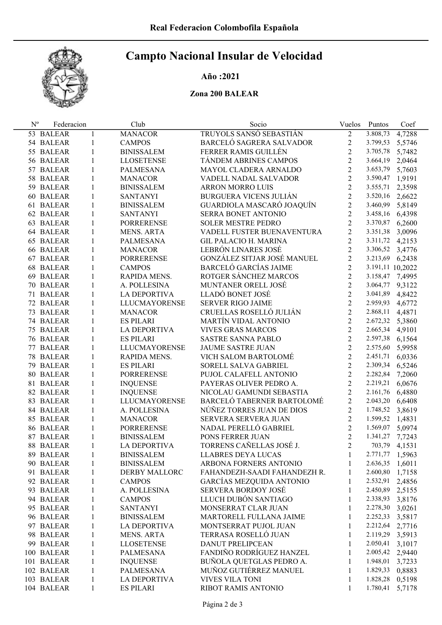# Campto Nacional Insular de Velocidad

# Año :2021

## Zona 200 BALEAR

| $N^{o}$ | Federacion |              | Club                 | Socio                           | Vuelos         | Puntos           | Coef          |
|---------|------------|--------------|----------------------|---------------------------------|----------------|------------------|---------------|
|         | 53 BALEAR  | 1            | <b>MANACOR</b>       | TRUYOLS SANSÓ SEBASTIÁN         | $\overline{2}$ | 3.808,73         | 4,7288        |
|         | 54 BALEAR  | 1            | <b>CAMPOS</b>        | <b>BARCELÓ SAGRERA SALVADOR</b> | $\overline{2}$ | 3.799,53         | 5,5746        |
|         | 55 BALEAR  | 1            | <b>BINISSALEM</b>    | FERRER RAMIS GUILLÉN            | $\overline{2}$ | 3.705,78         | 5,7482        |
|         | 56 BALEAR  | 1            | <b>LLOSETENSE</b>    | TÁNDEM ABRINES CAMPOS           | $\overline{2}$ | 3.664,19         | 2,0464        |
|         | 57 BALEAR  | 1            | PALMESANA            | MAYOL CLADERA ARNALDO           | $\overline{2}$ | 3.653,79         | 5,7603        |
|         | 58 BALEAR  | $\mathbf{1}$ | <b>MANACOR</b>       | VADELL NADAL SALVADOR           | $\overline{2}$ | 3.590,47 1,9191  |               |
|         | 59 BALEAR  | $\mathbf{1}$ | <b>BINISSALEM</b>    | <b>ARRON MORRO LUIS</b>         | $\overline{2}$ | 3.555,71         | 2,3598        |
|         | 60 BALEAR  | $\mathbf{1}$ | <b>SANTANYI</b>      | BURGUERA VICENS JULIÁN          | $\overline{2}$ | 3.520,16         | 2,6622        |
|         | 61 BALEAR  | 1            | <b>BINISSALEM</b>    | GUARDIOLA MASCARÓ JOAQUÍN       | $\overline{2}$ | 3.460,99         | 5,8149        |
|         | 62 BALEAR  | 1            | <b>SANTANYI</b>      | SERRA BONET ANTONIO             | $\overline{2}$ | 3.458,16         | 6,4398        |
|         | 63 BALEAR  | $\mathbf{1}$ | <b>PORRERENSE</b>    | <b>SOLER MESTRE PEDRO</b>       | $\overline{2}$ | 3.370,87         | 6,2600        |
|         | 64 BALEAR  | 1            | <b>MENS. ARTA</b>    | VADELL FUSTER BUENAVENTURA      | $\overline{2}$ | 3.351,38         | 3,0096        |
|         | 65 BALEAR  | 1            | PALMESANA            | <b>GIL PALACIO H. MARINA</b>    | $\overline{2}$ | 3.311,72         | 4,2153        |
|         | 66 BALEAR  | 1            | <b>MANACOR</b>       | LEBRÓN LINARES JOSÉ             | $\overline{2}$ | 3.306,52         | 3,4776        |
|         | 67 BALEAR  | $\mathbf{1}$ | <b>PORRERENSE</b>    | GONZÁLEZ SITJAR JOSÉ MANUEL     | $\overline{2}$ | 3.213,69         | 6,2438        |
|         | 68 BALEAR  | 1            | <b>CAMPOS</b>        | <b>BARCELÓ GARCÍAS JAIME</b>    | $\overline{2}$ | 3.191,11 10,2022 |               |
|         | 69 BALEAR  | 1            | RAPIDA MENS.         | ROTGER SÁNCHEZ MARCOS           | $\overline{2}$ | 3.158,47         | 7,4995        |
|         | 70 BALEAR  | $\mathbf{1}$ | A. POLLESINA         | MUNTANER ORELL JOSÉ             | $\overline{2}$ | 3.064,77         | 9,3122        |
|         | 71 BALEAR  | $\mathbf{1}$ | LA DEPORTIVA         | LLADÓ BONET JOSÉ                | $\overline{2}$ | 3.041,89         | 4,8422        |
|         | 72 BALEAR  | 1            | <b>LLUCMAYORENSE</b> | SERVER RIGO JAIME               | $\overline{2}$ | 2.959,93         | 4,6772        |
|         | 73 BALEAR  | 1            | <b>MANACOR</b>       | CRUELLAS ROSELLÓ JULIÁN         | $\overline{2}$ | 2.868,11         | 4,4871        |
|         | 74 BALEAR  | $\mathbf{1}$ | <b>ES PILARI</b>     | MARTÍN VIDAL ANTONIO            | $\overline{2}$ | 2.672,32         | 5,3860        |
|         | 75 BALEAR  | 1            | <b>LA DEPORTIVA</b>  | <b>VIVES GRAS MARCOS</b>        | $\overline{2}$ | 2.665,34         | 4,9101        |
|         | 76 BALEAR  | 1            | <b>ES PILARI</b>     | SASTRE SANNA PABLO              | $\overline{2}$ | 2.597,38         | 6,1564        |
|         | 77 BALEAR  | 1            | <b>LLUCMAYORENSE</b> | JAUME SASTRE JUAN               | $\overline{2}$ | 2.575,60         | 5,9958        |
|         | 78 BALEAR  | 1            | RAPIDA MENS.         | VICH SALOM BARTOLOMÉ            | $\overline{2}$ | 2.451,71         | 6,0336        |
|         | 79 BALEAR  | 1            | <b>ES PILARI</b>     | SORELL SALVA GABRIEL            | $\overline{2}$ | 2.309,34         | 6,5246        |
|         | 80 BALEAR  | 1            | <b>PORRERENSE</b>    | PUJOL CALAFELL ANTONIO          | $\overline{2}$ | 2.282,84         | 7,2060        |
|         | 81 BALEAR  | 1            | <b>INQUENSE</b>      | PAYERAS OLIVER PEDRO A.         | $\overline{2}$ | 2.219,21         | 6,0676        |
|         | 82 BALEAR  | 1            | <b>INQUENSE</b>      | NICOLAU GAMUNDI SEBASTIA        | $\overline{2}$ | 2.161,76         | 6,4880        |
|         | 83 BALEAR  | 1            | LLUCMAYORENSE        | BARCELÓ TABERNER BARTOLOMÉ      | $\overline{2}$ | 2.043,20         | 6,6408        |
|         | 84 BALEAR  | 1            | A. POLLESINA         | NÚÑEZ TORRES JUAN DE DIOS       | $\overline{2}$ | 1.748,52         | 3,8619        |
|         | 85 BALEAR  | 1            | <b>MANACOR</b>       | SERVERA SERVERA JUAN            | $\overline{2}$ | 1.599,52         | 1,4831        |
|         | 86 BALEAR  | 1            | <b>PORRERENSE</b>    | NADAL PERELLÓ GABRIEL           | $\overline{2}$ | 1.569,07         | 5,0974        |
|         | 87 BALEAR  | $\mathbf{1}$ | <b>BINISSALEM</b>    | PONS FERRER JUAN                | $\overline{2}$ | 1.341,27         | 7,7243        |
|         | 88 BALEAR  | 1            | LA DEPORTIVA         | TORRENS CAÑELLAS JOSÉ J.        | $\overline{2}$ |                  | 703,79 4,1531 |
|         | 89 BALEAR  |              | <b>BINISSALEM</b>    | <b>LLABRES DEYA LUCAS</b>       | $\mathbf{1}$   | 2.771,77 1,5963  |               |
|         | 90 BALEAR  | 1            | <b>BINISSALEM</b>    | ARBONA FORNERS ANTONIO          | 1              | 2.636,35         | 1,6011        |
|         | 91 BALEAR  | 1            | DERBY MALLORC        | FAHANDEZH-SAADI FAHANDEZH R.    | 1              | 2.600,80         | 1,7158        |
|         | 92 BALEAR  | 1            | <b>CAMPOS</b>        | <b>GARCÍAS MEZQUIDA ANTONIO</b> | 1              | 2.532,91         | 2,4856        |
|         | 93 BALEAR  | 1            | A. POLLESINA         | <b>SERVERA BORDOY JOSÉ</b>      | 1              | 2.450,89         | 2,5155        |
|         | 94 BALEAR  | 1            | <b>CAMPOS</b>        | LLUCH DUBÓN SANTIAGO            | 1              | 2.338,93         | 3,8176        |
|         | 95 BALEAR  | 1            | <b>SANTANYI</b>      | MONSERRAT CLAR JUAN             | 1              | 2.278,30         | 3,0261        |
|         | 96 BALEAR  | 1            | <b>BINISSALEM</b>    | MARTORELL FULLANA JAIME         | 1              | 2.252,33         | 3,5817        |
|         | 97 BALEAR  | $\mathbf{1}$ | <b>LA DEPORTIVA</b>  | MONTSERRAT PUJOL JUAN           | 1              | 2.212,64         | 2,7716        |
|         | 98 BALEAR  | 1            | <b>MENS. ARTA</b>    | TERRASA ROSELLÓ JUAN            | 1              | 2.119,29         | 3,5913        |
|         | 99 BALEAR  | $\mathbf{1}$ | <b>LLOSETENSE</b>    | <b>DANUT PRELIPCEAN</b>         | 1              | 2.050,41         | 3,1017        |
|         | 100 BALEAR | $\mathbf{1}$ | PALMESANA            | FANDIÑO RODRÍGUEZ HANZEL        | 1              | 2.005,42         | 2,9440        |
|         | 101 BALEAR | $\mathbf{1}$ | <b>INQUENSE</b>      | BUÑOLA QUETGLAS PEDRO A.        | 1              | 1.948,01         | 3,7233        |
|         | 102 BALEAR | 1            | <b>PALMESANA</b>     | MUÑOZ GUTIÉRREZ MANUEL          | 1              | 1.829,33         | 0,8883        |
|         | 103 BALEAR | 1            | <b>LA DEPORTIVA</b>  | <b>VIVES VILA TONI</b>          | 1              | 1.828,28         | 0,5198        |
|         | 104 BALEAR | 1            | <b>ES PILARI</b>     | RIBOT RAMIS ANTONIO             | 1              | 1.780,41         | 5,7178        |